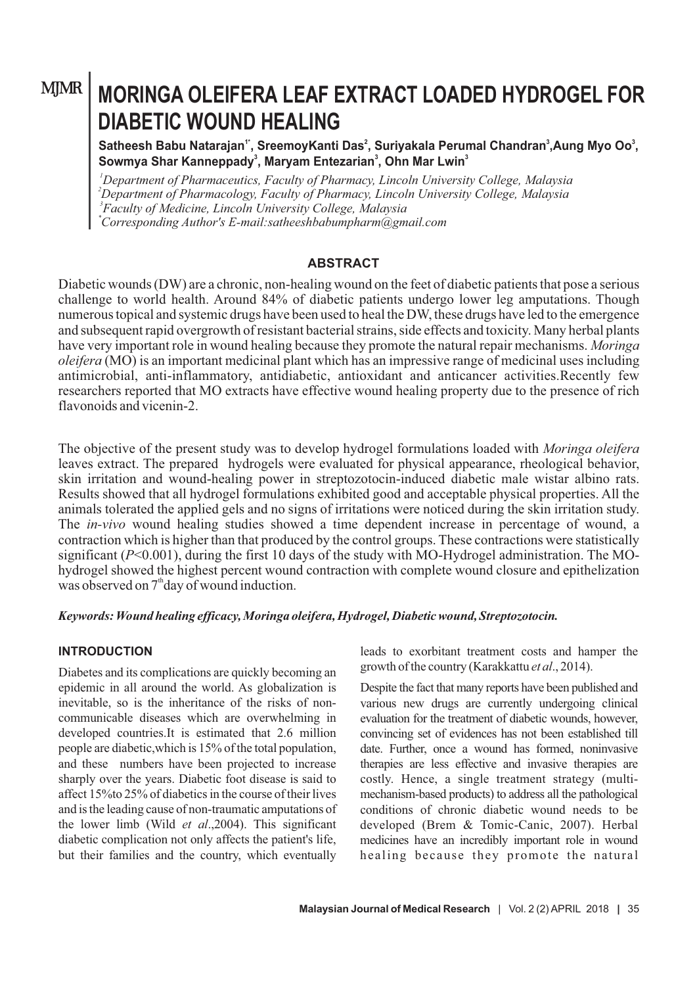# **MJMR**

# **MORINGA OLEIFERA LEAF EXTRACT LOADED HYDROGEL FOR DIABETIC WOUND HEALING**

**5** Satheesh Babu Natarajan<sup>1</sup>, SreemoyKanti Das<sup>2</sup>, Suriyakala Perumal Chandran<sup>3</sup>, Aung Myo Oo<sup>3</sup>, **<sup>3</sup> <sup>3</sup> <sup>3</sup> Sowmya Shar Kanneppady , Maryam Entezarian , Ohn Mar Lwin**

*Department of Pharmaceutics, Faculty of Pharmacy, Lincoln University College, Malaysia Department of Pharmacology, Faculty of Pharmacy, Lincoln University College, Malaysia Faculty of Medicine, Lincoln University College, Malaysia \*Corresponding Author's E-mail:satheeshbabumpharm@gmail.com*

# **ABSTRACT**

Diabetic wounds (DW) are a chronic, non-healing wound on the feet of diabetic patients that pose a serious challenge to world health. Around 84% of diabetic patients undergo lower leg amputations. Though numerous topical and systemic drugs have been used to heal the DW, these drugs have led to the emergence and subsequent rapid overgrowth of resistant bacterial strains, side effects and toxicity. Many herbal plants have very important role in wound healing because they promote the natural repair mechanisms. *Moringa oleifera* (MO) is an important medicinal plant which has an impressive range of medicinal uses including antimicrobial, anti-inflammatory, antidiabetic, antioxidant and anticancer activities.Recently few researchers reported that MO extracts have effective wound healing property due to the presence of rich flavonoids and vicenin-2.

The objective of the present study was to develop hydrogel formulations loaded with *Moringa oleifera* leaves extract. The prepared hydrogels were evaluated for physical appearance, rheological behavior, skin irritation and wound-healing power in streptozotocin-induced diabetic male wistar albino rats. Results showed that all hydrogel formulations exhibited good and acceptable physical properties. All the animals tolerated the applied gels and no signs of irritations were noticed during the skin irritation study. The *in-vivo* wound healing studies showed a time dependent increase in percentage of wound, a contraction which is higher than that produced by the control groups. These contractions were statistically significant (*P*<0.001), during the first 10 days of the study with MO-Hydrogel administration. The MOhydrogel showed the highest percent wound contraction with complete wound closure and epithelization was observed on  $7<sup>th</sup>$  day of wound induction.

*Keywords: Wound healing efficacy, Moringa oleifera, Hydrogel, Diabetic wound, Streptozotocin.*

# **INTRODUCTION**

Diabetes and its complications are quickly becoming an epidemic in all around the world. As globalization is inevitable, so is the inheritance of the risks of noncommunicable diseases which are overwhelming in developed countries.It is estimated that 2.6 million people are diabetic,which is 15% of the total population, and these numbers have been projected to increase sharply over the years. Diabetic foot disease is said to affect 15%to 25% of diabetics in the course of their lives and is the leading cause of non-traumatic amputations of the lower limb (Wild *et al*.,2004). This significant diabetic complication not only affects the patient's life, but their families and the country, which eventually

leads to exorbitant treatment costs and hamper the growth of the country (Karakkattu *et al*., 2014).

Despite the fact that many reports have been published and various new drugs are currently undergoing clinical evaluation for the treatment of diabetic wounds, however, convincing set of evidences has not been established till date. Further, once a wound has formed, noninvasive therapies are less effective and invasive therapies are costly. Hence, a single treatment strategy (multimechanism-based products) to address all the pathological conditions of chronic diabetic wound needs to be developed (Brem & Tomic-Canic, 2007). Herbal medicines have an incredibly important role in wound healing because they promote the natural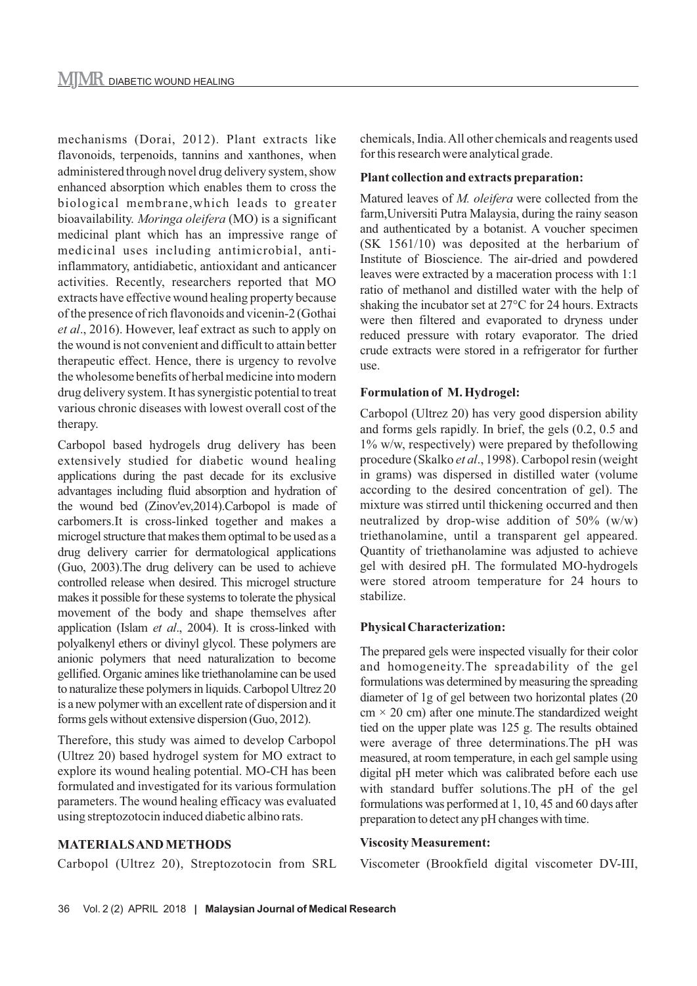mechanisms (Dorai, 2012). Plant extracts like flavonoids, terpenoids, tannins and xanthones, when administered through novel drug delivery system, show enhanced absorption which enables them to cross the biological membrane,which leads to greater bioavailability. *Moringa oleifera* (MO) is a significant medicinal plant which has an impressive range of medicinal uses including antimicrobial, antiinflammatory, antidiabetic, antioxidant and anticancer activities. Recently, researchers reported that MO extracts have effective wound healing property because of the presence of rich flavonoids and vicenin-2 (Gothai *et al*., 2016). However, leaf extract as such to apply on the wound is not convenient and difficult to attain better therapeutic effect. Hence, there is urgency to revolve the wholesome benefits of herbal medicine into modern drug delivery system. It has synergistic potential to treat various chronic diseases with lowest overall cost of the therapy.

Carbopol based hydrogels drug delivery has been extensively studied for diabetic wound healing applications during the past decade for its exclusive advantages including fluid absorption and hydration of the wound bed (Zinov'ev,2014).Carbopol is made of carbomers.It is cross-linked together and makes a microgel structure that makes them optimal to be used as a drug delivery carrier for dermatological applications (Guo, 2003).The drug delivery can be used to achieve controlled release when desired. This microgel structure makes it possible for these systems to tolerate the physical movement of the body and shape themselves after application (Islam *et al*., 2004). It is cross-linked with polyalkenyl ethers or divinyl glycol. These polymers are anionic polymers that need naturalization to become gellified. Organic amines like triethanolamine can be used to naturalize these polymers in liquids. Carbopol Ultrez 20 is a new polymer with an excellent rate of dispersion and it forms gels without extensive dispersion (Guo, 2012).

Therefore, this study was aimed to develop Carbopol (Ultrez 20) based hydrogel system for MO extract to explore its wound healing potential. MO-CH has been formulated and investigated for its various formulation parameters. The wound healing efficacy was evaluated using streptozotocin induced diabetic albino rats.

#### **MATERIALS AND METHODS**

Carbopol (Ultrez 20), Streptozotocin from SRL

chemicals, India. All other chemicals and reagents used for this research were analytical grade.

#### **Plant collection and extracts preparation:**

Matured leaves of *M. oleifera* were collected from the farm,Universiti Putra Malaysia, during the rainy season and authenticated by a botanist. A voucher specimen (SK 1561/10) was deposited at the herbarium of Institute of Bioscience. The air-dried and powdered leaves were extracted by a maceration process with 1:1 ratio of methanol and distilled water with the help of shaking the incubator set at 27°C for 24 hours. Extracts were then filtered and evaporated to dryness under reduced pressure with rotary evaporator. The dried crude extracts were stored in a refrigerator for further use.

#### **Formulation of M. Hydrogel:**

Carbopol (Ultrez 20) has very good dispersion ability and forms gels rapidly. In brief, the gels (0.2, 0.5 and 1% w/w, respectively) were prepared by thefollowing procedure (Skalko *et al*., 1998). Carbopol resin (weight in grams) was dispersed in distilled water (volume according to the desired concentration of gel). The mixture was stirred until thickening occurred and then neutralized by drop-wise addition of 50% (w/w) triethanolamine, until a transparent gel appeared. Quantity of triethanolamine was adjusted to achieve gel with desired pH. The formulated MO-hydrogels were stored atroom temperature for 24 hours to stabilize.

#### **Physical Characterization:**

The prepared gels were inspected visually for their color and homogeneity.The spreadability of the gel formulations was determined by measuring the spreading diameter of 1g of gel between two horizontal plates (20  $cm \times 20$  cm) after one minute. The standardized weight tied on the upper plate was 125 g. The results obtained were average of three determinations.The pH was measured, at room temperature, in each gel sample using digital pH meter which was calibrated before each use with standard buffer solutions.The pH of the gel formulations was performed at 1, 10, 45 and 60 days after preparation to detect any pH changes with time.

#### **Viscosity Measurement:**

Viscometer (Brookfield digital viscometer DV-III,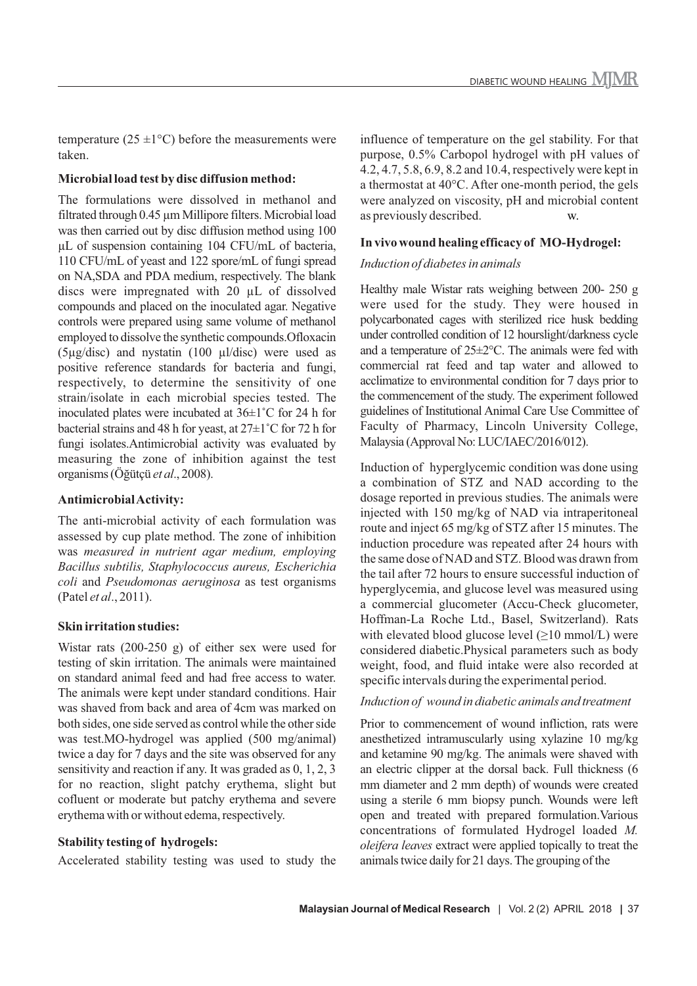temperature (25  $\pm$ 1°C) before the measurements were taken.

#### **Microbial load test by disc diffusion method:**

The formulations were dissolved in methanol and filtrated through 0.45 µm Millipore filters. Microbial load was then carried out by disc diffusion method using 100 µL of suspension containing 104 CFU/mL of bacteria, 110 CFU/mL of yeast and 122 spore/mL of fungi spread on NA,SDA and PDA medium, respectively. The blank discs were impregnated with 20 µL of dissolved compounds and placed on the inoculated agar. Negative controls were prepared using same volume of methanol employed to dissolve the synthetic compounds.Ofloxacin (5µg/disc) and nystatin (100 µl/disc) were used as positive reference standards for bacteria and fungi, respectively, to determine the sensitivity of one strain/isolate in each microbial species tested. The inoculated plates were incubated at 36±1˚C for 24 h for bacterial strains and 48 h for yeast, at 27±1˚C for 72 h for fungi isolates.Antimicrobial activity was evaluated by measuring the zone of inhibition against the test organisms (Öğütçü *et al*., 2008).

### **Antimicrobial Activity:**

The anti-microbial activity of each formulation was assessed by cup plate method. The zone of inhibition was *measured in nutrient agar medium, employing Bacillus subtilis, Staphylococcus aureus, Escherichia coli* and *Pseudomonas aeruginosa* as test organisms (Patel *et al*., 2011).

#### **Skin irritation studies:**

Wistar rats (200-250 g) of either sex were used for testing of skin irritation. The animals were maintained on standard animal feed and had free access to water. The animals were kept under standard conditions. Hair was shaved from back and area of 4cm was marked on both sides, one side served as control while the other side was test.MO-hydrogel was applied (500 mg/animal) twice a day for 7 days and the site was observed for any sensitivity and reaction if any. It was graded as 0, 1, 2, 3 for no reaction, slight patchy erythema, slight but cofluent or moderate but patchy erythema and severe erythema with or without edema, respectively.

# **Stability testing of hydrogels:**

Accelerated stability testing was used to study the

influence of temperature on the gel stability. For that purpose, 0.5% Carbopol hydrogel with pH values of 4.2, 4.7, 5.8, 6.9, 8.2 and 10.4, respectively were kept in a thermostat at 40°C. After one-month period, the gels were analyzed on viscosity, pH and microbial content as previously described. w.

#### **In vivo wound healing efficacy of MO-Hydrogel:**

#### *Induction of diabetes in animals*

Healthy male Wistar rats weighing between 200- 250 g were used for the study. They were housed in polycarbonated cages with sterilized rice husk bedding under controlled condition of 12 hourslight/darkness cycle and a temperature of 25±2°C. The animals were fed with commercial rat feed and tap water and allowed to acclimatize to environmental condition for 7 days prior to the commencement of the study. The experiment followed guidelines of Institutional Animal Care Use Committee of Faculty of Pharmacy, Lincoln University College, Malaysia (Approval No: LUC/IAEC/2016/012).

Induction of hyperglycemic condition was done using a combination of STZ and NAD according to the dosage reported in previous studies. The animals were injected with 150 mg/kg of NAD via intraperitoneal route and inject 65 mg/kg of STZ after 15 minutes. The induction procedure was repeated after 24 hours with the same dose of NAD and STZ. Blood was drawn from the tail after 72 hours to ensure successful induction of hyperglycemia, and glucose level was measured using a commercial glucometer (Accu-Check glucometer, Hoffman-La Roche Ltd., Basel, Switzerland). Rats with elevated blood glucose level  $(\geq 10 \text{ mmol/L})$  were considered diabetic.Physical parameters such as body weight, food, and fluid intake were also recorded at specific intervals during the experimental period.

#### *Induction of wound in diabetic animals and treatment*

Prior to commencement of wound infliction, rats were anesthetized intramuscularly using xylazine 10 mg/kg and ketamine 90 mg/kg. The animals were shaved with an electric clipper at the dorsal back. Full thickness (6 mm diameter and 2 mm depth) of wounds were created using a sterile 6 mm biopsy punch. Wounds were left open and treated with prepared formulation.Various concentrations of formulated Hydrogel loaded *M. oleifera leaves* extract were applied topically to treat the animals twice daily for 21 days. The grouping of the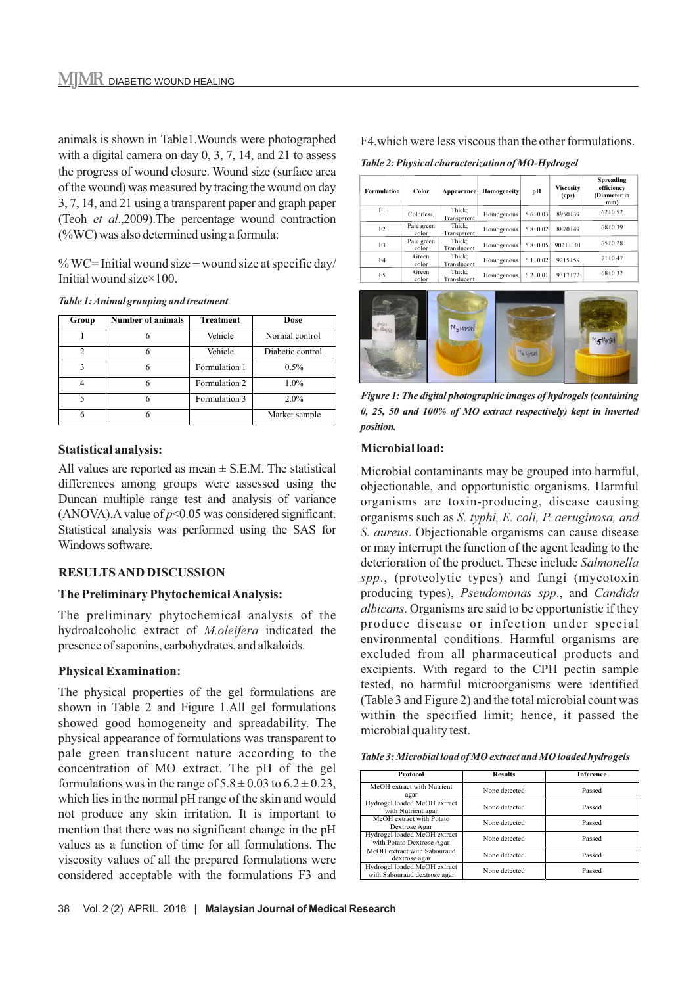animals is shown in Table1.Wounds were photographed with a digital camera on day 0, 3, 7, 14, and 21 to assess the progress of wound closure. Wound size (surface area of the wound) was measured by tracing the wound on day 3, 7, 14, and 21 using a transparent paper and graph paper (Teoh *et al*.,2009).The percentage wound contraction (%WC) was also determined using a formula:

% WC= Initial wound size − wound size at specific day/ Initial wound size×100.

| Table 1: Animal grouping and treatment |  |  |
|----------------------------------------|--|--|
|----------------------------------------|--|--|

| Group          | <b>Number of animals</b> | <b>Treatment</b> | Dose             |
|----------------|--------------------------|------------------|------------------|
|                | 6                        | Vehicle          | Normal control   |
| $\overline{c}$ | 6                        | Vehicle          | Diabetic control |
| 3              |                          | Formulation 1    | $0.5\%$          |
| 4              | 6                        | Formulation 2    | $1.0\%$          |
| 5              | 6                        | Formulation 3    | $2.0\%$          |
| 6              | 6                        |                  | Market sample    |

#### **Statistical analysis:**

All values are reported as mean  $\pm$  S.E.M. The statistical differences among groups were assessed using the Duncan multiple range test and analysis of variance (ANOVA). A value of  $p<0.05$  was considered significant. Statistical analysis was performed using the SAS for Windows software.

# **RESULTS AND DISCUSSION**

# **The Preliminary Phytochemical Analysis:**

The preliminary phytochemical analysis of the hydroalcoholic extract of *M.oleifera* indicated the presence of saponins, carbohydrates, and alkaloids.

# **Physical Examination:**

The physical properties of the gel formulations are shown in Table 2 and Figure 1.All gel formulations showed good homogeneity and spreadability. The physical appearance of formulations was transparent to pale green translucent nature according to the concentration of MO extract. The pH of the gel formulations was in the range of  $5.8 \pm 0.03$  to  $6.2 \pm 0.23$ , which lies in the normal pH range of the skin and would not produce any skin irritation. It is important to mention that there was no significant change in the pH values as a function of time for all formulations. The viscosity values of all the prepared formulations were considered acceptable with the formulations F3 and F4,which were less viscous than the other formulations.

*Table 2: Physical characterization of MO-Hydrogel*

| <b>Formulation</b> | Color               | Appearance            | Homogeneity | рH             | <b>Viscosity</b><br>(cps) | <b>Spreading</b><br>efficiency<br>(Diameter in<br>mm) |
|--------------------|---------------------|-----------------------|-------------|----------------|---------------------------|-------------------------------------------------------|
| F1                 | Colorless.          | Thick;<br>Transparent | Homogenous  | $5.6 \pm 0.03$ | 8950±39                   | $62 \pm 0.52$                                         |
| F <sub>2</sub>     | Pale green<br>color | Thick:<br>Transparent | Homogenous  | $5.8 \pm 0.02$ | 8870±49                   | $68 + 0.39$                                           |
| F3                 | Pale green<br>color | Thick:<br>Translucent | Homogenous  | $5.8 \pm 0.05$ | $9021 \pm 101$            | $65\pm0.28$                                           |
| F4                 | Green<br>color      | Thick:<br>Translucent | Homogenous  | $6.1 \pm 0.02$ | $9215 \pm 59$             | $71 \pm 0.47$                                         |
| F5                 | Green<br>color      | Thick:<br>Translucent | Homogenous  | $6.2 \pm 0.01$ | $9317 \pm 72$             | $68\pm0.32$                                           |



*Figure 1: The digital photographic images of hydrogels (containing 0, 25, 50 and 100% of MO extract respectively) kept in inverted position.*

#### **Microbial load:**

Microbial contaminants may be grouped into harmful, objectionable, and opportunistic organisms. Harmful organisms are toxin-producing, disease causing organisms such as *S. typhi, E. coli, P. aeruginosa, and S. aureus*. Objectionable organisms can cause disease or may interrupt the function of the agent leading to the deterioration of the product. These include *Salmonella spp*., (proteolytic types) and fungi (mycotoxin producing types), *Pseudomonas spp*., and *Candida albicans*. Organisms are said to be opportunistic if they produce disease or infection under special environmental conditions. Harmful organisms are excluded from all pharmaceutical products and excipients. With regard to the CPH pectin sample tested, no harmful microorganisms were identified (Table 3 and Figure 2) and the total microbial count was within the specified limit; hence, it passed the microbial quality test.

*Table 3: Microbial load of MO extract and MO loaded hydrogels*

| <b>Protocol</b>                                              | <b>Results</b> | <b>Inference</b> |  |
|--------------------------------------------------------------|----------------|------------------|--|
| MeOH extract with Nutrient<br>agar                           | None detected  | Passed           |  |
| Hydrogel loaded MeOH extract<br>with Nutrient agar           | None detected  | Passed           |  |
| MeOH extract with Potato<br>Dextrose Agar                    | None detected  | Passed           |  |
| Hydrogel loaded MeOH extract<br>with Potato Dextrose Agar    | None detected  | Passed           |  |
| MeOH extract with Sabouraud<br>dextrose agar                 | None detected  | Passed           |  |
| Hydrogel loaded MeOH extract<br>with Sabouraud dextrose agar | None detected  | Passed           |  |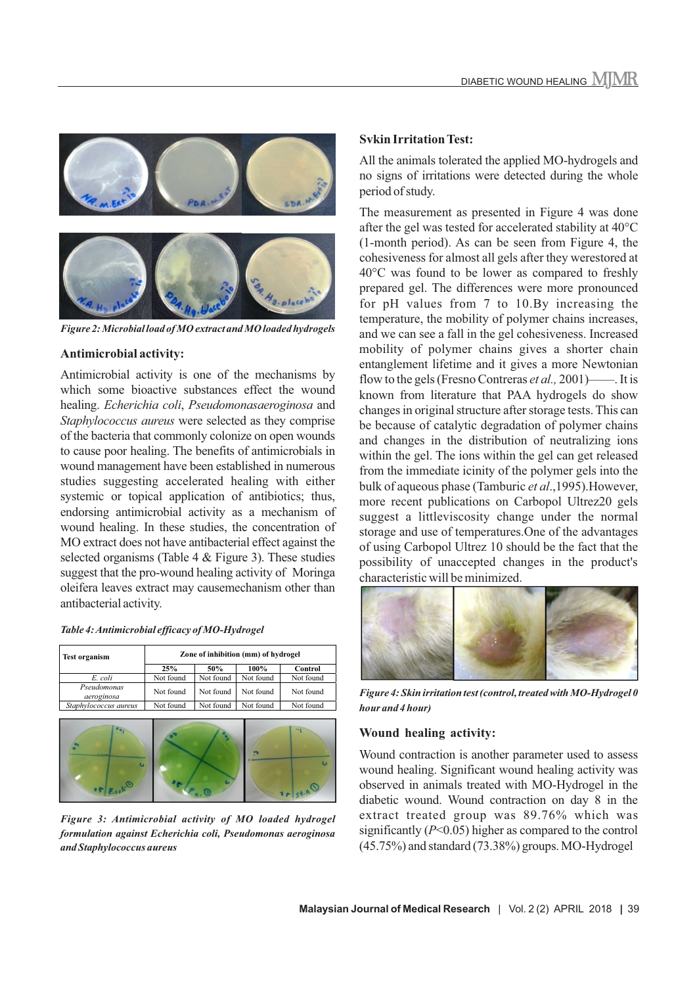

*Figure 2: Microbial load of MO extract and MO loaded hydrogels*

#### **Antimicrobial activity:**

Antimicrobial activity is one of the mechanisms by which some bioactive substances effect the wound healing. *Echerichia coli*, *Pseudomonasaeroginosa* and *Staphylococcus aureus* were selected as they comprise of the bacteria that commonly colonize on open wounds to cause poor healing. The benefits of antimicrobials in wound management have been established in numerous studies suggesting accelerated healing with either systemic or topical application of antibiotics; thus, endorsing antimicrobial activity as a mechanism of wound healing. In these studies, the concentration of MO extract does not have antibacterial effect against the selected organisms (Table 4  $&$  Figure 3). These studies suggest that the pro-wound healing activity of Moringa oleifera leaves extract may causemechanism other than antibacterial activity.

| <b>Test organism</b>      | Zone of inhibition (mm) of hydrogel |           |           |           |
|---------------------------|-------------------------------------|-----------|-----------|-----------|
|                           | 25%                                 | 50%       | $100\%$   | Control   |
| E. coli                   | Not found                           | Not found | Not found | Not found |
| Pseudomonas<br>aeroginosa | Not found                           | Not found | Not found | Not found |
| Staphylococcus aureus     | Not found                           | Not found | Not found | Not found |
|                           |                                     |           |           |           |



*Figure 3: Antimicrobial activity of MO loaded hydrogel formulation against Echerichia coli, Pseudomonas aeroginosa and Staphylococcus aureus*

#### **Svkin Irritation Test:**

All the animals tolerated the applied MO-hydrogels and no signs of irritations were detected during the whole period of study.

The measurement as presented in Figure 4 was done after the gel was tested for accelerated stability at 40°C (1-month period). As can be seen from Figure 4, the cohesiveness for almost all gels after they werestored at 40°C was found to be lower as compared to freshly prepared gel. The differences were more pronounced for pH values from 7 to 10.By increasing the temperature, the mobility of polymer chains increases, and we can see a fall in the gel cohesiveness. Increased mobility of polymer chains gives a shorter chain entanglement lifetime and it gives a more Newtonian flow to the gels (Fresno Contreras *et al.,* 2001)——. It is known from literature that PAA hydrogels do show changes in original structure after storage tests. This can be because of catalytic degradation of polymer chains and changes in the distribution of neutralizing ions within the gel. The ions within the gel can get released from the immediate icinity of the polymer gels into the bulk of aqueous phase (Tamburic *et al*.,1995).However, more recent publications on Carbopol Ultrez20 gels suggest a littleviscosity change under the normal storage and use of temperatures.One of the advantages of using Carbopol Ultrez 10 should be the fact that the possibility of unaccepted changes in the product's characteristic will be minimized.



*Figure 4: Skin irritation test (control, treated with MO-Hydrogel 0 hour and 4 hour)*

#### **Wound healing activity:**

Wound contraction is another parameter used to assess wound healing. Significant wound healing activity was observed in animals treated with MO-Hydrogel in the diabetic wound. Wound contraction on day 8 in the extract treated group was 89.76% which was significantly (*P*<0.05) higher as compared to the control (45.75%) and standard (73.38%) groups. MO-Hydrogel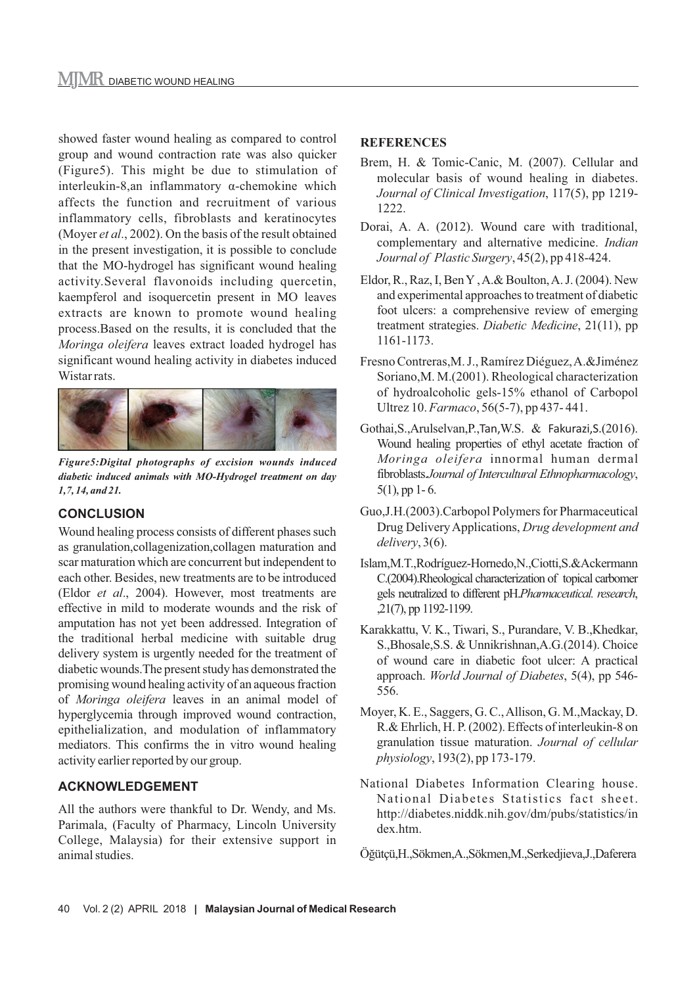showed faster wound healing as compared to control group and wound contraction rate was also quicker (Figure5). This might be due to stimulation of interleukin-8,an inflammatory α-chemokine which affects the function and recruitment of various inflammatory cells, fibroblasts and keratinocytes (Moyer *et al*., 2002). On the basis of the result obtained in the present investigation, it is possible to conclude that the MO-hydrogel has significant wound healing activity.Several flavonoids including quercetin, kaempferol and isoquercetin present in MO leaves extracts are known to promote wound healing process.Based on the results, it is concluded that the *Moringa oleifera* leaves extract loaded hydrogel has significant wound healing activity in diabetes induced Wistar rats.



*Figure5:Digital photographs of excision wounds induced diabetic induced animals with MO-Hydrogel treatment on day 1,7, 14, and 21.*

# **CONCLUSION**

Wound healing process consists of different phases such as granulation,collagenization,collagen maturation and scar maturation which are concurrent but independent to each other. Besides, new treatments are to be introduced (Eldor *et al*., 2004). However, most treatments are effective in mild to moderate wounds and the risk of amputation has not yet been addressed. Integration of the traditional herbal medicine with suitable drug delivery system is urgently needed for the treatment of diabetic wounds.The present study has demonstrated the promising wound healing activity of an aqueous fraction of *Moringa oleifera* leaves in an animal model of hyperglycemia through improved wound contraction, epithelialization, and modulation of inflammatory mediators. This confirms the in vitro wound healing activity earlier reported by our group.

# **ACKNOWLEDGEMENT**

All the authors were thankful to Dr. Wendy, and Ms. Parimala, (Faculty of Pharmacy, Lincoln University College, Malaysia) for their extensive support in animal studies.

# **REFERENCES**

- Brem, H. & Tomic-Canic, M. (2007). Cellular and molecular basis of wound healing in diabetes. *Journal of Clinical Investigation*, 117(5), pp 1219- 1222.
- Dorai, A. A. (2012). Wound care with traditional, complementary and alternative medicine. *Indian Journal of Plastic Surgery*, 45(2), pp 418-424.
- Eldor, R., Raz, I, Ben Y , A.& Boulton, A. J. (2004). New and experimental approaches to treatment of diabetic foot ulcers: a comprehensive review of emerging treatment strategies. *Diabetic Medicine*, 21(11), pp 1161-1173.
- Fresno Contreras,M. J., Ramírez Diéguez, A.&Jiménez Soriano,M. M.(2001). Rheological characterization of hydroalcoholic gels-15% ethanol of Carbopol Ultrez 10. *Farmaco*, 56(5-7), pp 437- 441.
- Gothai,S.,Arulselvan,P.,Tan,W.S. & Fakurazi,S.(2016). Wound healing properties of ethyl acetate fraction of *Moringa oleifera* innormal human dermal fibroblasts.*Journal of Intercultural Ethnopharmacology*,  $5(1)$ , pp 1-6.
- Guo,J.H.(2003).Carbopol Polymers for Pharmaceutical Drug Delivery Applications, *Drug development and delivery*, 3(6).
- Islam,M.T.,Rodríguez-Hornedo,N.,Ciotti,S.&Ackermann C.(2004).Rheological characterization of topical carbomer gels neutralized to different pH.*Pharmaceutical. research*, ,21(7), pp 1192-1199.
- Karakkattu, V. K., Tiwari, S., Purandare, V. B.,Khedkar, S.,Bhosale,S.S. & Unnikrishnan,A.G.(2014). Choice of wound care in diabetic foot ulcer: A practical approach. *World Journal of Diabetes*, 5(4), pp 546- 556.
- Moyer, K. E., Saggers, G. C., Allison, G. M.,Mackay, D. R.& Ehrlich, H. P. (2002). Effects of interleukin‐8 on granulation tissue maturation. *Journal of cellular physiology*, 193(2), pp 173-179.
- National Diabetes Information Clearing house. National Diabetes Statistics fact sheet. http://diabetes.niddk.nih.gov/dm/pubs/statistics/in dex.htm.
- Öğütçü,H.,Sökmen,A.,Sökmen,M.,Serkedjieva,J.,Daferera